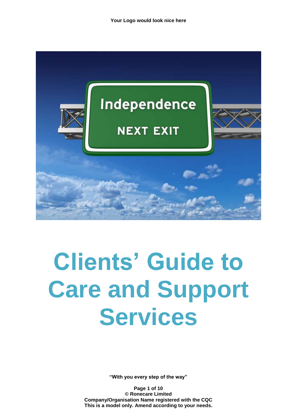

# **Clients' Guide to Care and Support Services**

**"With you every step of the way"**

**Page 1 of 10 © Ronecare Limited Company/Organisation Name registered with the CQC This is a model only. Amend according to your needs.**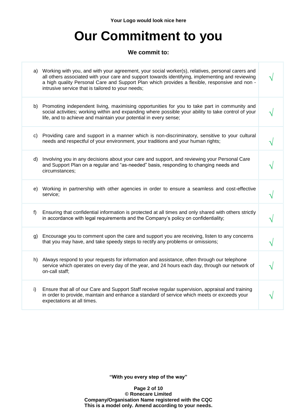**Your Logo would look nice here**

## **Our Commitment to you**

#### **We commit to:**

|       | a) Working with you, and with your agreement, your social worker(s), relatives, personal carers and<br>all others associated with your care and support towards identifying, implementing and reviewing<br>a high quality Personal Care and Support Plan which provides a flexible, responsive and non -<br>intrusive service that is tailored to your needs; |  |
|-------|---------------------------------------------------------------------------------------------------------------------------------------------------------------------------------------------------------------------------------------------------------------------------------------------------------------------------------------------------------------|--|
|       | b) Promoting independent living, maximising opportunities for you to take part in community and<br>social activities; working within and expanding where possible your ability to take control of your<br>life, and to achieve and maintain your potential in every sense;                                                                                    |  |
| C)    | Providing care and support in a manner which is non-discriminatory, sensitive to your cultural<br>needs and respectful of your environment, your traditions and your human rights;                                                                                                                                                                            |  |
| d)    | Involving you in any decisions about your care and support, and reviewing your Personal Care<br>and Support Plan on a regular and "as-needed" basis, responding to changing needs and<br>circumstances;                                                                                                                                                       |  |
| e)    | Working in partnership with other agencies in order to ensure a seamless and cost-effective<br>service;                                                                                                                                                                                                                                                       |  |
| $f$ ) | Ensuring that confidential information is protected at all times and only shared with others strictly<br>in accordance with legal requirements and the Company's policy on confidentiality;                                                                                                                                                                   |  |
| g)    | Encourage you to comment upon the care and support you are receiving, listen to any concerns<br>that you may have, and take speedy steps to rectify any problems or omissions;                                                                                                                                                                                |  |
| h)    | Always respond to your requests for information and assistance, often through our telephone<br>service which operates on every day of the year, and 24 hours each day, through our network of<br>on-call staff;                                                                                                                                               |  |
| i)    | Ensure that all of our Care and Support Staff receive regular supervision, appraisal and training<br>in order to provide, maintain and enhance a standard of service which meets or exceeds your<br>expectations at all times.                                                                                                                                |  |
|       |                                                                                                                                                                                                                                                                                                                                                               |  |

**"With you every step of the way"**

**Page 2 of 10 © Ronecare Limited Company/Organisation Name registered with the CQC This is a model only. Amend according to your needs.**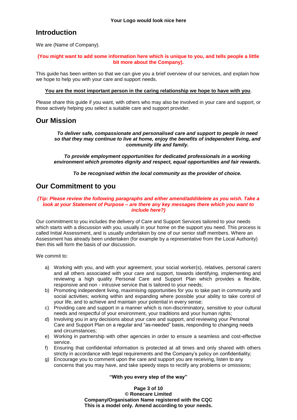## **Introduction**

We are (Name of Company).

#### **(You might want to add some information here which is unique to you, and tells people a little bit more about the Company).**

This guide has been written so that we can give you a brief overview of our services, and explain how we hope to help you with your care and support needs.

#### **You are the most important person in the caring relationship we hope to have with you**.

Please share this guide if you want, with others who may also be involved in your care and support, or those actively helping you select a suitable care and support provider.

### **Our Mission**

*To deliver safe, compassionate and personalised care and support to people in need so that they may continue to live at home, enjoy the benefits of independent living, and community life and family.*

*To provide employment opportunities for dedicated professionals in a working environment which promotes dignity and respect, equal opportunities and fair rewards.*

*To be recognised within the local community as the provider of choice.*

## **Our Commitment to you**

#### *(Tip: Please review the following paragraphs and either amend/add/delete as you wish. Take a look at your Statement of Purpose – are there any key messages there which you want to include here?)*

Our commitment to you includes the delivery of Care and Support Services tailored to your needs which starts with a discussion with you, usually in your home on the support you need. This process is called Initial Assessment, and is usually undertaken by one of our senior staff members. Where an Assessment has already been undertaken (for example by a representative from the Local Authority) then this will form the basis of our discussion.

We commit to:

- a) Working with you, and with your agreement, your social worker(s), relatives, personal carers and all others associated with your care and support, towards identifying, implementing and reviewing a high quality Personal Care and Support Plan which provides a flexible, responsive and non - intrusive service that is tailored to your needs;
- b) Promoting independent living, maximising opportunities for you to take part in community and social activities; working within and expanding where possible your ability to take control of your life, and to achieve and maintain your potential in every sense;
- c) Providing care and support in a manner which is non-discriminatory, sensitive to your cultural needs and respectful of your environment, your traditions and your human rights;
- d) Involving you in any decisions about your care and support, and reviewing your Personal Care and Support Plan on a regular and "as-needed" basis, responding to changing needs and circumstances;
- e) Working in partnership with other agencies in order to ensure a seamless and cost-effective service.
- f) Ensuring that confidential information is protected at all times and only shared with others strictly in accordance with legal requirements and the Company's policy on confidentiality;
- g) Encourage you to comment upon the care and support you are receiving, listen to any concerns that you may have, and take speedy steps to rectify any problems or omissions;

#### **"With you every step of the way"**

**Page 3 of 10**

**© Ronecare Limited Company/Organisation Name registered with the CQC This is a model only. Amend according to your needs.**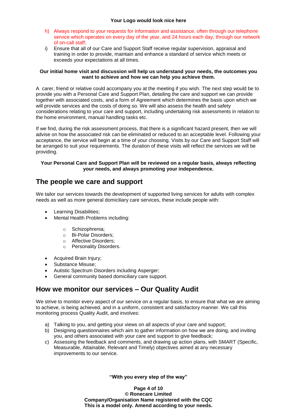- h) Always respond to your requests for information and assistance, often through our telephone service which operates on every day of the year, and 24 hours each day, through our network of on-call staff;
- i) Ensure that all of our Care and Support Staff receive regular supervision, appraisal and training in order to provide, maintain and enhance a standard of service which meets or exceeds your expectations at all times.

#### **Our initial home visit and discussion will help us understand your needs, the outcomes you want to achieve and how we can help you achieve them.**

A carer, friend or relative could accompany you at the meeting if you wish. The next step would be to provide you with a Personal Care and Support Plan, detailing the care and support we can provide together with associated costs, and a form of Agreement which determines the basis upon which we will provide services and the costs of doing so. We will also assess the health and safety considerations relating to your care and support, including undertaking risk assessments in relation to the home environment, manual handling tasks etc.

If we find, during the risk assessment process, that there is a significant hazard present, then we will advise on how the associated risk can be eliminated or reduced to an acceptable level. Following your acceptance, the service will begin at a time of your choosing. Visits by our Care and Support Staff will be arranged to suit your requirements. The duration of these visits will reflect the services we will be providing.

#### **Your Personal Care and Support Plan will be reviewed on a regular basis, always reflecting your needs, and always promoting your independence.**

## **The people we care and support**

We tailor our services towards the development of supported living services for adults with complex needs as well as more general domiciliary care services, these include people with:

- Learning Disabilities;
- Mental Health Problems including:
	- o Schizophrenia;
	- o Bi-Polar Disorders;
	- o Affective Disorders;
	- o Personality Disorders.
- Acquired Brain Injury;
- Substance Misuse;
- Autistic Spectrum Disorders including Asperger;
- General community based domiciliary care support.

## **How we monitor our services – Our Quality Audit**

We strive to monitor every aspect of our service on a regular basis, to ensure that what we are aiming to achieve, is being achieved, and in a uniform, consistent and satisfactory manner. We call this monitoring process Quality Audit, and involves:

- a) Talking to you, and getting your views on all aspects of your care and support;
- b) Designing questionnaires which aim to gather information on how we are doing, and inviting you, and others associated with your care and support to give feedback;
- c) Assessing the feedback and comments, and drawing up action plans, with SMART (Specific, Measurable, Attainable, Relevant and Timely) objectives aimed at any necessary improvements to our service.

**"With you every step of the way"**

**Page 4 of 10 © Ronecare Limited Company/Organisation Name registered with the CQC This is a model only. Amend according to your needs.**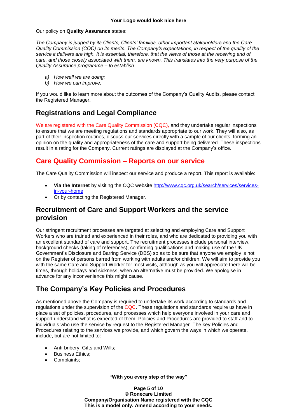#### Our policy on **Quality Assurance** states:

*The Company is judged by its Clients, Clients' families, other important stakeholders and the Care Quality Commission (CQC) on its merits. The Company's expectations, in respect of the quality of the service it delivers are high. It is essential, therefore, that the views of those at the receiving end of care, and those closely associated with them, are known. This translates into the very purpose of the Quality Assurance programme – to establish:*

- *a) How well we are doing;*
- *b) How we can improve.*

If you would like to learn more about the outcomes of the Company's Quality Audits, please contact the Registered Manager.

## **Registrations and Legal Compliance**

We are registered with the Care Quality Commission (CQC), and they undertake regular inspections to ensure that we are meeting regulations and standards appropriate to our work. They will also, as part of their inspection routines, discuss our services directly with a sample of our clients, forming an opinion on the quality and appropriateness of the care and support being delivered. These inspections result in a rating for the Company. Current ratings are displayed at the Company's office.

## **Care Quality Commission – Reports on our service**

The Care Quality Commission will inspect our service and produce a report. This report is available:

- **Via the Internet** by visiting the CQC website [http://www.cqc.org.uk/search/services/services](http://www.cqc.org.uk/search/services/services-in-your-home)[in-your-home](http://www.cqc.org.uk/search/services/services-in-your-home)
- Or by contacting the Registered Manager.

## **Recruitment of Care and Support Workers and the service provision**

Our stringent recruitment processes are targeted at selecting and employing Care and Support Workers who are trained and experienced in their roles, and who are dedicated to providing you with an excellent standard of care and support. The recruitment processes include personal interview, background checks (taking of references), confirming qualifications and making use of the UK Government's Disclosure and Barring Service (DBS) so as to be sure that anyone we employ is not on the Register of persons barred from working with adults and/or children. We will aim to provide you with the same Care and Support Worker for most visits, although as you will appreciate there will be times, through holidays and sickness, when an alternative must be provided. We apologise in advance for any inconvenience this might cause.

## **The Company's Key Policies and Procedures**

As mentioned above the Company is required to undertake its work according to standards and regulations under the supervision of the CQC. These regulations and standards require us have in place a set of policies, procedures, and processes which help everyone involved in your care and support understand what is expected of them. Policies and Procedures are provided to staff and to individuals who use the service by request to the Registered Manager. The key Policies and Procedures relating to the services we provide, and which govern the ways in which we operate, include, but are not limited to:

- Anti-bribery, Gifts and Wills;
- **Business Ethics;**
- Complaints;

**"With you every step of the way"**

**Page 5 of 10 © Ronecare Limited Company/Organisation Name registered with the CQC This is a model only. Amend according to your needs.**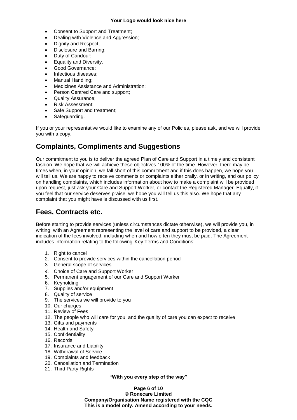#### **Your Logo would look nice here**

- Consent to Support and Treatment;
- Dealing with Violence and Aggression:
- Dignity and Respect;
- Disclosure and Barring;
- Duty of Candour;
- Equality and Diversity.
- Good Governance:
- Infectious diseases;
- Manual Handling:
- Medicines Assistance and Administration;
- Person Centred Care and support;
- Quality Assurance;
- Risk Assessment;
- Safe Support and treatment;
- Safeguarding.

If you or your representative would like to examine any of our Policies, please ask, and we will provide you with a copy.

## **Complaints, Compliments and Suggestions**

Our commitment to you is to deliver the agreed Plan of Care and Support in a timely and consistent fashion. We hope that we will achieve these objectives 100% of the time. However, there may be times when, in your opinion, we fall short of this commitment and if this does happen, we hope you will tell us. We are happy to receive comments or complaints either orally, or in writing, and our policy on handling complaints, which includes information about how to make a complaint will be provided upon request, just ask your Care and Support Worker, or contact the Registered Manager. Equally, if you feel that our service deserves praise, we hope you will tell us this also. We hope that any complaint that you might have is discussed with us first.

## **Fees, Contracts etc.**

Before starting to provide services (unless circumstances dictate otherwise), we will provide you, in writing, with an Agreement representing the level of care and support to be provided, a clear indication of the fees involved, including when and how often they must be paid. The Agreement includes information relating to the following Key Terms and Conditions:

- 1. Right to cancel
- 2. Consent to provide services within the cancellation period
- 3. General scope of services
- *4.* Choice of Care and Support Worker
- 5. Permanent engagement of our Care and Support Worker
- 6. Keyholding
- 7. Supplies and/or equipment
- 8. Quality of service
- 9. The services we will provide to you
- 10. Our charges
- 11. Review of Fees
- 12. The people who will care for you, and the quality of care you can expect to receive
- 13. Gifts and payments
- 14. Health and Safety
- 15. Confidentiality
- 16. Records
- 17. Insurance and Liability
- 18. Withdrawal of Service
- 19. Complaints and feedback
- 20. Cancellation and Termination
- 21. Third Party Rights

**"With you every step of the way"**

**Page 6 of 10**

**© Ronecare Limited Company/Organisation Name registered with the CQC This is a model only. Amend according to your needs.**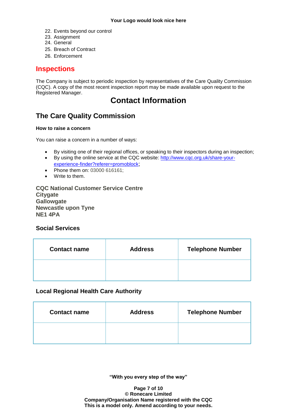- 22. Events beyond our control
- 23. Assignment
- 24. General
- 25. Breach of Contract
- 26. Enforcement

## **Inspections**

The Company is subject to periodic inspection by representatives of the Care Quality Commission (CQC). A copy of the most recent inspection report may be made available upon request to the Registered Manager.

## **Contact Information**

## **The Care Quality Commission**

#### **How to raise a concern**

You can raise a concern in a number of ways:

- By visiting one of their regional offices, or speaking to their inspectors during an inspection;
- By using the online service at the CQC website: [http://www.cqc.org.uk/share-your](http://www.cqc.org.uk/share-your-experience-finder?referer=promoblock)[experience-finder?referer=promoblock](http://www.cqc.org.uk/share-your-experience-finder?referer=promoblock);
- Phone them on: 03000 616161;
- Write to them.

**CQC National Customer Service Centre Citygate Gallowgate Newcastle upon Tyne NE1 4PA**

#### **Social Services**

| <b>Contact name</b> | <b>Address</b> | <b>Telephone Number</b> |
|---------------------|----------------|-------------------------|
|                     |                |                         |

#### **Local Regional Health Care Authority**

| <b>Contact name</b> | <b>Address</b> | <b>Telephone Number</b> |
|---------------------|----------------|-------------------------|
|                     |                |                         |

**"With you every step of the way"**

**Page 7 of 10 © Ronecare Limited Company/Organisation Name registered with the CQC This is a model only. Amend according to your needs.**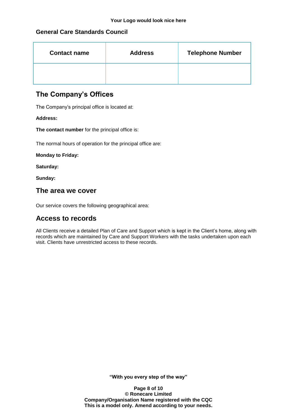#### **General Care Standards Council**

| <b>Contact name</b> | <b>Address</b> | <b>Telephone Number</b> |
|---------------------|----------------|-------------------------|
|                     |                |                         |

## **The Company's Offices**

The Company's principal office is located at:

#### **Address:**

**The contact number** for the principal office is:

The normal hours of operation for the principal office are:

**Monday to Friday:**

**Saturday:**

**Sunday:**

#### **The area we cover**

Our service covers the following geographical area:

## **Access to records**

All Clients receive a detailed Plan of Care and Support which is kept in the Client's home, along with records which are maintained by Care and Support Workers with the tasks undertaken upon each visit. Clients have unrestricted access to these records.

**"With you every step of the way"**

**Page 8 of 10 © Ronecare Limited Company/Organisation Name registered with the CQC This is a model only. Amend according to your needs.**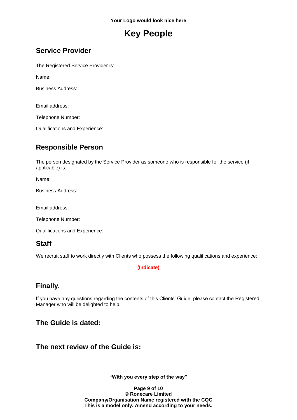## **Key People**

## **Service Provider**

The Registered Service Provider is:

Name:

Business Address:

Email address:

Telephone Number:

Qualifications and Experience:

## **Responsible Person**

The person designated by the Service Provider as someone who is responsible for the service (if applicable) is:

Name:

Business Address:

Email address:

Telephone Number:

Qualifications and Experience:

## **Staff**

We recruit staff to work directly with Clients who possess the following qualifications and experience:

#### **(Indicate)**

## **Finally,**

If you have any questions regarding the contents of this Clients' Guide, please contact the Registered Manager who will be delighted to help.

## **The Guide is dated:**

## **The next review of the Guide is:**

**"With you every step of the way"**

**Page 9 of 10 © Ronecare Limited Company/Organisation Name registered with the CQC This is a model only. Amend according to your needs.**